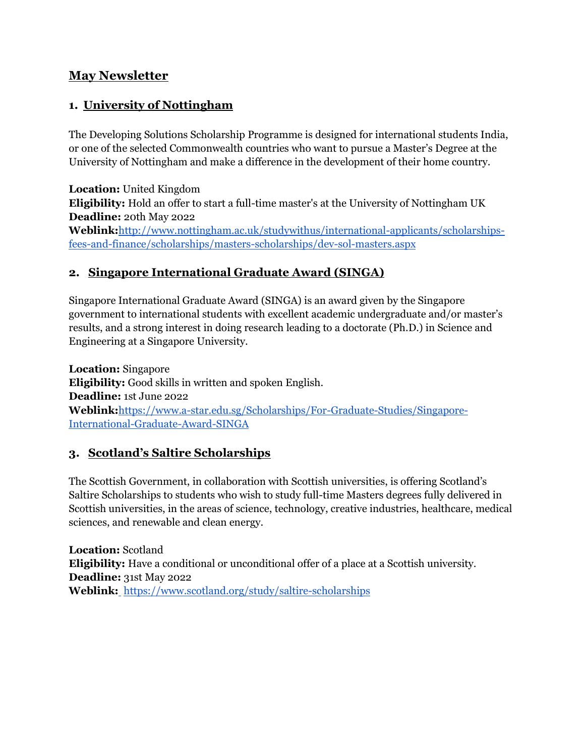## **May Newsletter**

# **1. University of Nottingham**

The Developing Solutions Scholarship Programme is designed for international students India, or one of the selected Commonwealth countries who want to pursue a Master's Degree at the University of Nottingham and make a difference in the development of their home country.

**Location:** United Kingdom **Eligibility:** Hold an offer to start a full-time master's at the University of Nottingham UK **Deadline:** 20th May 2022 **Weblink:**[http://www.nottingham.ac.uk/studywithus/international-applicants/scholarships](http://www.nottingham.ac.uk/studywithus/international-applicants/scholarships-fees-and-finance/scholarships/masters-scholarships/dev-sol-masters.aspx)[fees-and-finance/scholarships/masters-scholarships/dev-sol-masters.aspx](http://www.nottingham.ac.uk/studywithus/international-applicants/scholarships-fees-and-finance/scholarships/masters-scholarships/dev-sol-masters.aspx)

## **2. Singapore International Graduate Award (SINGA)**

Singapore International Graduate Award (SINGA) is an award given by the Singapore government to international students with excellent academic undergraduate and/or master's results, and a strong interest in doing research leading to a doctorate (Ph.D.) in Science and Engineering at a Singapore University.

**Location:** Singapore **Eligibility:** Good skills in written and spoken English. **Deadline:** 1st June 2022 **Weblink:**[https://www.a-star.edu.sg/Scholarships/For-Graduate-Studies/Singapore-](https://www.a-star.edu.sg/Scholarships/For-Graduate-Studies/Singapore-International-Graduate-Award-SINGA)[International-Graduate-Award-SINGA](https://www.a-star.edu.sg/Scholarships/For-Graduate-Studies/Singapore-International-Graduate-Award-SINGA)

## **3. Scotland's Saltire Scholarships**

The Scottish Government, in collaboration with Scottish universities, is offering Scotland's Saltire Scholarships to students who wish to study full-time Masters degrees fully delivered in Scottish universities, in the areas of science, technology, creative industries, healthcare, medical sciences, and renewable and clean energy.

**Location:** Scotland **Eligibility:** Have a conditional or unconditional offer of a place at a Scottish university. **Deadline:** 31st May 2022 **Weblink[:](https://www.imperial.ac.uk/admin-services/international-relations/bcstemeaf/)** <https://www.scotland.org/study/saltire-scholarships>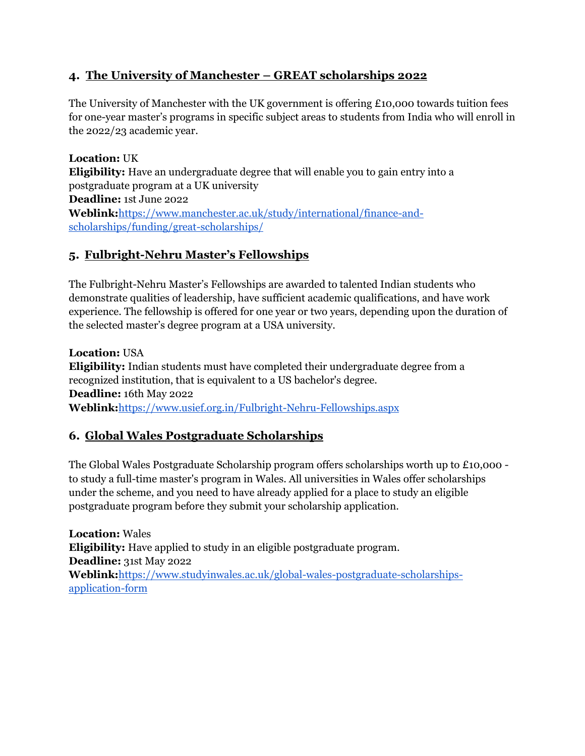#### **4. The University of Manchester – GREAT scholarships 2022**

The University of Manchester with the UK government is offering £10,000 towards tuition fees for one-year master's programs in specific subject areas to students from India who will enroll in the 2022/23 academic year.

**Location:** UK **Eligibility:** Have an undergraduate degree that will enable you to gain entry into a postgraduate program at a UK university **Deadline:** 1st June 2022 **Weblink:**[https://www.manchester.ac.uk/study/international/finance-and](https://www.manchester.ac.uk/study/international/finance-and-scholarships/funding/great-scholarships/)[scholarships/funding/great-scholarships/](https://www.manchester.ac.uk/study/international/finance-and-scholarships/funding/great-scholarships/)

## **5. Fulbright-Nehru Master's Fellowships**

The Fulbright-Nehru Master's Fellowships are awarded to talented Indian students who demonstrate qualities of leadership, have sufficient academic qualifications, and have work experience. The fellowship is offered for one year or two years, depending upon the duration of the selected master's degree program at a USA university.

**Location:** USA **Eligibility:** Indian students must have completed their undergraduate degree from a recognized institution, that is equivalent to a US bachelor's degree. **Deadline:** 16th May 2022 **Weblink:**<https://www.usief.org.in/Fulbright-Nehru-Fellowships.aspx>

## **6. Global Wales Postgraduate Scholarships**

The Global Wales Postgraduate Scholarship program offers scholarships worth up to £10,000 to study a full-time master's program in Wales. All universities in Wales offer scholarships under the scheme, and you need to have already applied for a place to study an eligible postgraduate program before they submit your scholarship application.

**Location:** Wales **Eligibility:** Have applied to study in an eligible postgraduate program. **Deadline:** 31st May 2022 **Weblink:**[https://www.studyinwales.ac.uk/global-wales-postgraduate-scholarships](https://www.studyinwales.ac.uk/global-wales-postgraduate-scholarships-application-form)[application-form](https://www.studyinwales.ac.uk/global-wales-postgraduate-scholarships-application-form)